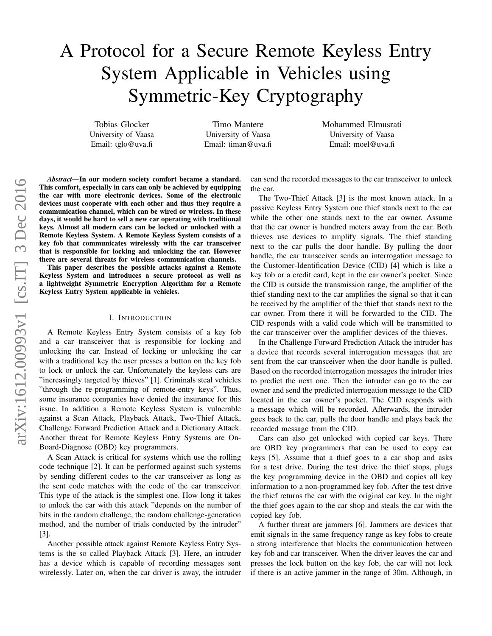# A Protocol for a Secure Remote Keyless Entry System Applicable in Vehicles using Symmetric-Key Cryptography

Tobias Glocker University of Vaasa Email: tglo@uva.fi

Timo Mantere University of Vaasa Email: timan@uva.fi Mohammed Elmusrati University of Vaasa Email: moel@uva.fi

*Abstract*—In our modern society comfort became a standard. This comfort, especially in cars can only be achieved by equipping the car with more electronic devices. Some of the electronic devices must cooperate with each other and thus they require a communication channel, which can be wired or wireless. In these days, it would be hard to sell a new car operating with traditional keys. Almost all modern cars can be locked or unlocked with a Remote Keyless System. A Remote Keyless System consists of a key fob that communicates wirelessly with the car transceiver that is responsible for locking and unlocking the car. However there are several threats for wireless communication channels.

This paper describes the possible attacks against a Remote Keyless System and introduces a secure protocol as well as lightweight Symmetric Encryption Algorithm for a Remote Keyless Entry System applicable in vehicles.

#### I. INTRODUCTION

A Remote Keyless Entry System consists of a key fob and a car transceiver that is responsible for locking and unlocking the car. Instead of locking or unlocking the car with a traditional key the user presses a button on the key fob to lock or unlock the car. Unfortunately the keyless cars are "increasingly targeted by thieves" [1]. Criminals steal vehicles "through the re-programming of remote-entry keys". Thus, some insurance companies have denied the insurance for this issue. In addition a Remote Keyless System is vulnerable against a Scan Attack, Playback Attack, Two-Thief Attack, Challenge Forward Prediction Attack and a Dictionary Attack. Another threat for Remote Keyless Entry Systems are On-Board-Diagnose (OBD) key programmers.

A Scan Attack is critical for systems which use the rolling code technique [2]. It can be performed against such systems by sending different codes to the car transceiver as long as the sent code matches with the code of the car transceiver. This type of the attack is the simplest one. How long it takes to unlock the car with this attack "depends on the number of bits in the random challenge, the random challenge-generation method, and the number of trials conducted by the intruder" [3].

Another possible attack against Remote Keyless Entry Systems is the so called Playback Attack [3]. Here, an intruder has a device which is capable of recording messages sent wirelessly. Later on, when the car driver is away, the intruder can send the recorded messages to the car transceiver to unlock the car.

The Two-Thief Attack [3] is the most known attack. In a passive Keyless Entry System one thief stands next to the car while the other one stands next to the car owner. Assume that the car owner is hundred meters away from the car. Both thieves use devices to amplify signals. The thief standing next to the car pulls the door handle. By pulling the door handle, the car transceiver sends an interrogation message to the Customer-Identification Device (CID) [4] which is like a key fob or a credit card, kept in the car owner's pocket. Since the CID is outside the transmission range, the amplifier of the thief standing next to the car amplifies the signal so that it can be received by the amplifier of the thief that stands next to the car owner. From there it will be forwarded to the CID. The CID responds with a valid code which will be transmitted to the car transceiver over the amplifier devices of the thieves.

In the Challenge Forward Prediction Attack the intruder has a device that records several interrogation messages that are sent from the car transceiver when the door handle is pulled. Based on the recorded interrogation messages the intruder tries to predict the next one. Then the intruder can go to the car owner and send the predicted interrogation message to the CID located in the car owner's pocket. The CID responds with a message which will be recorded. Afterwards, the intruder goes back to the car, pulls the door handle and plays back the recorded message from the CID.

Cars can also get unlocked with copied car keys. There are OBD key programmers that can be used to copy car keys [5]. Assume that a thief goes to a car shop and asks for a test drive. During the test drive the thief stops, plugs the key programming device in the OBD and copies all key information to a non-programmed key fob. After the test drive the thief returns the car with the original car key. In the night the thief goes again to the car shop and steals the car with the copied key fob.

A further threat are jammers [6]. Jammers are devices that emit signals in the same frequency range as key fobs to create a strong interference that blocks the communication between key fob and car transceiver. When the driver leaves the car and presses the lock button on the key fob, the car will not lock if there is an active jammer in the range of 30m. Although, in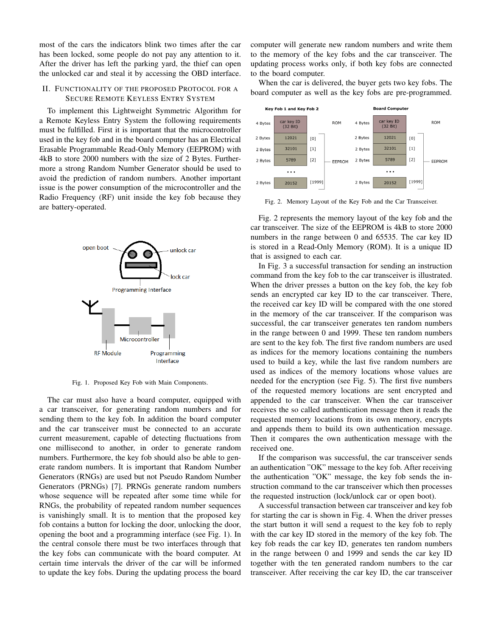most of the cars the indicators blink two times after the car has been locked, some people do not pay any attention to it. After the driver has left the parking yard, the thief can open the unlocked car and steal it by accessing the OBD interface.

### II. FUNCTIONALITY OF THE PROPOSED PROTOCOL FOR A SECURE REMOTE KEYLESS ENTRY SYSTEM

To implement this Lightweight Symmetric Algorithm for a Remote Keyless Entry System the following requirements must be fulfilled. First it is important that the microcontroller used in the key fob and in the board computer has an Electrical Erasable Programmable Read-Only Memory (EEPROM) with 4kB to store 2000 numbers with the size of 2 Bytes. Furthermore a strong Random Number Generator should be used to avoid the prediction of random numbers. Another important issue is the power consumption of the microcontroller and the Radio Frequency (RF) unit inside the key fob because they are battery-operated.



Fig. 1. Proposed Key Fob with Main Components.

The car must also have a board computer, equipped with a car transceiver, for generating random numbers and for sending them to the key fob. In addition the board computer and the car transceiver must be connected to an accurate current measurement, capable of detecting fluctuations from one millisecond to another, in order to generate random numbers. Furthermore, the key fob should also be able to generate random numbers. It is important that Random Number Generators (RNGs) are used but not Pseudo Random Number Generators (PRNGs) [7]. PRNGs generate random numbers whose sequence will be repeated after some time while for RNGs, the probability of repeated random number sequences is vanishingly small. It is to mention that the proposed key fob contains a button for locking the door, unlocking the door, opening the boot and a programming interface (see Fig. 1). In the central console there must be two interfaces through that the key fobs can communicate with the board computer. At certain time intervals the driver of the car will be informed to update the key fobs. During the updating process the board computer will generate new random numbers and write them to the memory of the key fobs and the car transceiver. The updating process works only, if both key fobs are connected to the board computer.

When the car is delivered, the buyer gets two key fobs. The board computer as well as the key fobs are pre-programmed.



Fig. 2. Memory Layout of the Key Fob and the Car Transceiver.

Fig. 2 represents the memory layout of the key fob and the car transceiver. The size of the EEPROM is 4kB to store 2000 numbers in the range between 0 and 65535. The car key ID is stored in a Read-Only Memory (ROM). It is a unique ID that is assigned to each car.

In Fig. 3 a successful transaction for sending an instruction command from the key fob to the car transceiver is illustrated. When the driver presses a button on the key fob, the key fob sends an encrypted car key ID to the car transceiver. There, the received car key ID will be compared with the one stored in the memory of the car transceiver. If the comparison was successful, the car transceiver generates ten random numbers in the range between 0 and 1999. These ten random numbers are sent to the key fob. The first five random numbers are used as indices for the memory locations containing the numbers used to build a key, while the last five random numbers are used as indices of the memory locations whose values are needed for the encryption (see Fig. 5). The first five numbers of the requested memory locations are sent encrypted and appended to the car transceiver. When the car transceiver receives the so called authentication message then it reads the requested memory locations from its own memory, encrypts and appends them to build its own authentication message. Then it compares the own authentication message with the received one.

If the comparison was successful, the car transceiver sends an authentication "OK" message to the key fob. After receiving the authentication "OK" message, the key fob sends the instruction command to the car transceiver which then processes the requested instruction (lock/unlock car or open boot).

A successful transaction between car transceiver and key fob for starting the car is shown in Fig. 4. When the driver presses the start button it will send a request to the key fob to reply with the car key ID stored in the memory of the key fob. The key fob reads the car key ID, generates ten random numbers in the range between 0 and 1999 and sends the car key ID together with the ten generated random numbers to the car transceiver. After receiving the car key ID, the car transceiver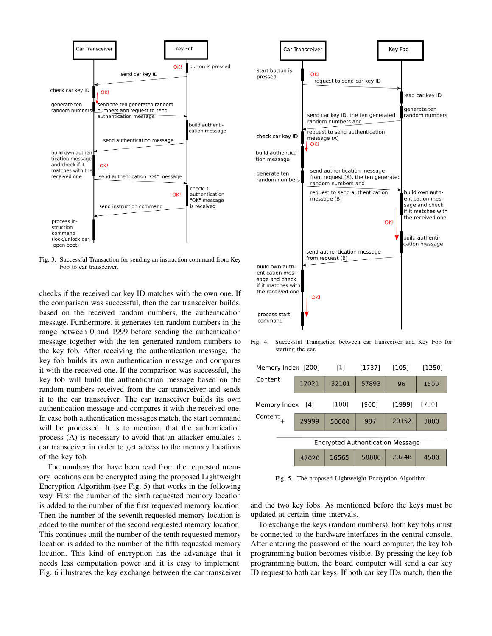

Fig. 3. Successful Transaction for sending an instruction command from Key Fob to car transceiver.

checks if the received car key ID matches with the own one. If the comparison was successful, then the car transceiver builds, based on the received random numbers, the authentication message. Furthermore, it generates ten random numbers in the range between 0 and 1999 before sending the authentication message together with the ten generated random numbers to the key fob. After receiving the authentication message, the key fob builds its own authentication message and compares it with the received one. If the comparison was successful, the key fob will build the authentication message based on the random numbers received from the car transceiver and sends it to the car transceiver. The car transceiver builds its own authentication message and compares it with the received one. In case both authentication messages match, the start command will be processed. It is to mention, that the authentication process (A) is necessary to avoid that an attacker emulates a car transceiver in order to get access to the memory locations of the key fob.

The numbers that have been read from the requested memory locations can be encrypted using the proposed Lightweight Encryption Algorithm (see Fig. 5) that works in the following way. First the number of the sixth requested memory location is added to the number of the first requested memory location. Then the number of the seventh requested memory location is added to the number of the second requested memory location. This continues until the number of the tenth requested memory location is added to the number of the fifth requested memory location. This kind of encryption has the advantage that it needs less computation power and it is easy to implement. Fig. 6 illustrates the key exchange between the car transceiver



Fig. 4. Successful Transaction between car transceiver and Key Fob for starting the car.

| Memory Index [200]                      |       | $[1]$ | [1737] | [105]  | $[1250]$ |  |  |  |
|-----------------------------------------|-------|-------|--------|--------|----------|--|--|--|
| Content                                 | 12021 | 32101 | 57893  | 96     | 1500     |  |  |  |
| Memory Index                            | [4]   | [100] | [900]  | [1999] | [730]    |  |  |  |
| Content                                 | 29999 | 50000 | 987    | 20152  | 3000     |  |  |  |
| <b>Encrypted Authentication Message</b> |       |       |        |        |          |  |  |  |
|                                         | 42020 | 16565 | 58880  | 20248  | 4500     |  |  |  |
|                                         |       |       |        |        |          |  |  |  |

Fig. 5. The proposed Lightweight Encryption Algorithm.

and the two key fobs. As mentioned before the keys must be updated at certain time intervals.

To exchange the keys (random numbers), both key fobs must be connected to the hardware interfaces in the central console. After entering the password of the board computer, the key fob programming button becomes visible. By pressing the key fob programming button, the board computer will send a car key ID request to both car keys. If both car key IDs match, then the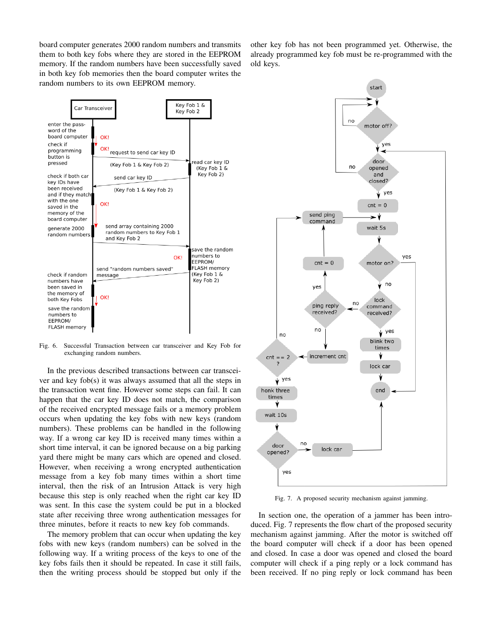board computer generates 2000 random numbers and transmits them to both key fobs where they are stored in the EEPROM memory. If the random numbers have been successfully saved in both key fob memories then the board computer writes the random numbers to its own EEPROM memory.

other key fob has not been programmed yet. Otherwise, the already programmed key fob must be re-programmed with the old keys.



Fig. 6. Successful Transaction between car transceiver and Key Fob for exchanging random numbers.

In the previous described transactions between car transceiver and key fob(s) it was always assumed that all the steps in the transaction went fine. However some steps can fail. It can happen that the car key ID does not match, the comparison of the received encrypted message fails or a memory problem occurs when updating the key fobs with new keys (random numbers). These problems can be handled in the following way. If a wrong car key ID is received many times within a short time interval, it can be ignored because on a big parking yard there might be many cars which are opened and closed. However, when receiving a wrong encrypted authentication message from a key fob many times within a short time interval, then the risk of an Intrusion Attack is very high because this step is only reached when the right car key ID was sent. In this case the system could be put in a blocked state after receiving three wrong authentication messages for three minutes, before it reacts to new key fob commands.

The memory problem that can occur when updating the key fobs with new keys (random numbers) can be solved in the following way. If a writing process of the keys to one of the key fobs fails then it should be repeated. In case it still fails, then the writing process should be stopped but only if the



Fig. 7. A proposed security mechanism against jamming.

In section one, the operation of a jammer has been introduced. Fig. 7 represents the flow chart of the proposed security mechanism against jamming. After the motor is switched off the board computer will check if a door has been opened and closed. In case a door was opened and closed the board computer will check if a ping reply or a lock command has been received. If no ping reply or lock command has been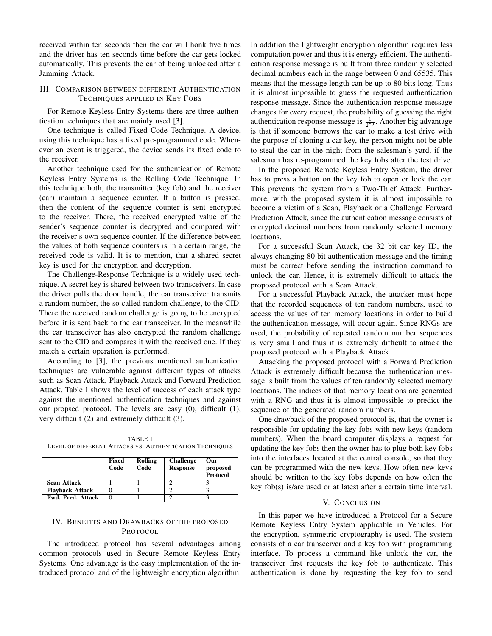received within ten seconds then the car will honk five times and the driver has ten seconds time before the car gets locked automatically. This prevents the car of being unlocked after a Jamming Attack.

## III. COMPARISON BETWEEN DIFFERENT AUTHENTICATION TECHNIQUES APPLIED IN KEY FOBS

For Remote Keyless Entry Systems there are three authentication techniques that are mainly used [3].

One technique is called Fixed Code Technique. A device, using this technique has a fixed pre-programmed code. Whenever an event is triggered, the device sends its fixed code to the receiver.

Another technique used for the authentication of Remote Keyless Entry Systems is the Rolling Code Technique. In this technique both, the transmitter (key fob) and the receiver (car) maintain a sequence counter. If a button is pressed, then the content of the sequence counter is sent encrypted to the receiver. There, the received encrypted value of the sender's sequence counter is decrypted and compared with the receiver's own sequence counter. If the difference between the values of both sequence counters is in a certain range, the received code is valid. It is to mention, that a shared secret key is used for the encryption and decryption.

The Challenge-Response Technique is a widely used technique. A secret key is shared between two transceivers. In case the driver pulls the door handle, the car transceiver transmits a random number, the so called random challenge, to the CID. There the received random challenge is going to be encrypted before it is sent back to the car transceiver. In the meanwhile the car transceiver has also encrypted the random challenge sent to the CID and compares it with the received one. If they match a certain operation is performed.

According to [3], the previous mentioned authentication techniques are vulnerable against different types of attacks such as Scan Attack, Playback Attack and Forward Prediction Attack. Table I shows the level of success of each attack type against the mentioned authentication techniques and against our propsed protocol. The levels are easy (0), difficult (1), very difficult (2) and extremely difficult (3).

TABLE I LEVEL OF DIFFERENT ATTACKS VS. AUTHENTICATION TECHNIQUES

|                          | Fixed<br>Code | Rolling<br>Code | <b>Challenge</b><br><b>Response</b> | Our<br>proposed<br><b>Protocol</b> |
|--------------------------|---------------|-----------------|-------------------------------------|------------------------------------|
| <b>Scan Attack</b>       |               |                 |                                     |                                    |
| <b>Playback Attack</b>   |               |                 |                                     |                                    |
| <b>Fwd. Pred. Attack</b> |               |                 |                                     |                                    |

# IV. BENEFITS AND DRAWBACKS OF THE PROPOSED PROTOCOL

The introduced protocol has several advantages among common protocols used in Secure Remote Keyless Entry Systems. One advantage is the easy implementation of the introduced protocol and of the lightweight encryption algorithm. In addition the lightweight encryption algorithm requires less computation power and thus it is energy efficient. The authentication response message is built from three randomly selected decimal numbers each in the range between 0 and 65535. This means that the message length can be up to 80 bits long. Thus it is almost impossible to guess the requested authentication response message. Since the authentication response message changes for every request, the probability of guessing the right authentication response message is  $\frac{1}{2^{80}}$ . Another big advantage is that if someone borrows the car to make a test drive with the purpose of cloning a car key, the person might not be able to steal the car in the night from the salesman's yard, if the salesman has re-programmed the key fobs after the test drive.

In the proposed Remote Keyless Entry System, the driver has to press a button on the key fob to open or lock the car. This prevents the system from a Two-Thief Attack. Furthermore, with the proposed system it is almost impossible to become a victim of a Scan, Playback or a Challenge Forward Prediction Attack, since the authentication message consists of encrypted decimal numbers from randomly selected memory locations.

For a successful Scan Attack, the 32 bit car key ID, the always changing 80 bit authentication message and the timing must be correct before sending the instruction command to unlock the car. Hence, it is extremely difficult to attack the proposed protocol with a Scan Attack.

For a successful Playback Attack, the attacker must hope that the recorded sequences of ten random numbers, used to access the values of ten memory locations in order to build the authentication message, will occur again. Since RNGs are used, the probability of repeated random number sequences is very small and thus it is extremely difficult to attack the proposed protocol with a Playback Attack.

Attacking the proposed protocol with a Forward Prediction Attack is extremely difficult because the authentication message is built from the values of ten randomly selected memory locations. The indices of that memory locations are generated with a RNG and thus it is almost impossible to predict the sequence of the generated random numbers.

One drawback of the proposed protocol is, that the owner is responsible for updating the key fobs with new keys (random numbers). When the board computer displays a request for updating the key fobs then the owner has to plug both key fobs into the interfaces located at the central console, so that they can be programmed with the new keys. How often new keys should be written to the key fobs depends on how often the key fob(s) is/are used or at latest after a certain time interval.

#### V. CONCLUSION

In this paper we have introduced a Protocol for a Secure Remote Keyless Entry System applicable in Vehicles. For the encryption, symmetric cryptography is used. The system consists of a car transceiver and a key fob with programming interface. To process a command like unlock the car, the transceiver first requests the key fob to authenticate. This authentication is done by requesting the key fob to send